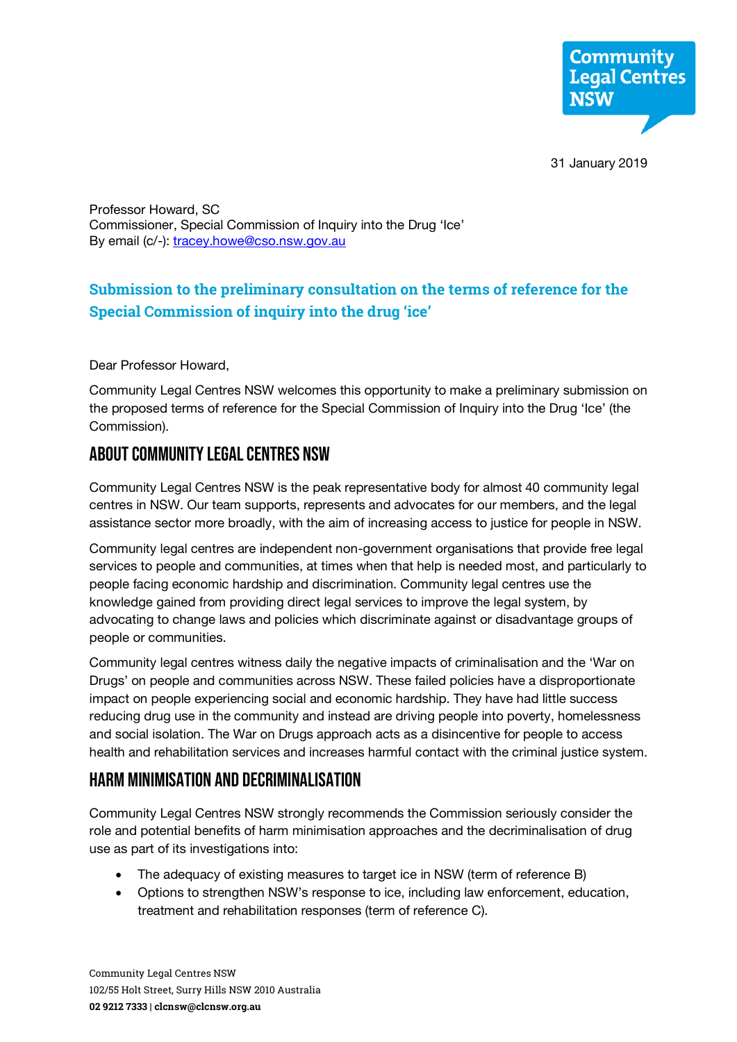

31 January 2019

Professor Howard, SC Commissioner, Special Commission of Inquiry into the Drug 'Ice' By email (c/-): tracey.howe@cso.nsw.gov.au

## **Submission to the preliminary consultation on the terms of reference for the Special Commission of inquiry into the drug 'ice'**

Dear Professor Howard,

Community Legal Centres NSW welcomes this opportunity to make a preliminary submission on the proposed terms of reference for the Special Commission of Inquiry into the Drug 'Ice' (the Commission).

# About Community Legal Centres NSW

Community Legal Centres NSW is the peak representative body for almost 40 community legal centres in NSW. Our team supports, represents and advocates for our members, and the legal assistance sector more broadly, with the aim of increasing access to justice for people in NSW.

Community legal centres are independent non-government organisations that provide free legal services to people and communities, at times when that help is needed most, and particularly to people facing economic hardship and discrimination. Community legal centres use the knowledge gained from providing direct legal services to improve the legal system, by advocating to change laws and policies which discriminate against or disadvantage groups of people or communities.

Community legal centres witness daily the negative impacts of criminalisation and the 'War on Drugs' on people and communities across NSW. These failed policies have a disproportionate impact on people experiencing social and economic hardship. They have had little success reducing drug use in the community and instead are driving people into poverty, homelessness and social isolation. The War on Drugs approach acts as a disincentive for people to access health and rehabilitation services and increases harmful contact with the criminal justice system.

### HARM MINIMISATION AND DECRIMinalisation

Community Legal Centres NSW strongly recommends the Commission seriously consider the role and potential benefits of harm minimisation approaches and the decriminalisation of drug use as part of its investigations into:

- The adequacy of existing measures to target ice in NSW (term of reference B)
- Options to strengthen NSW's response to ice, including law enforcement, education, treatment and rehabilitation responses (term of reference C).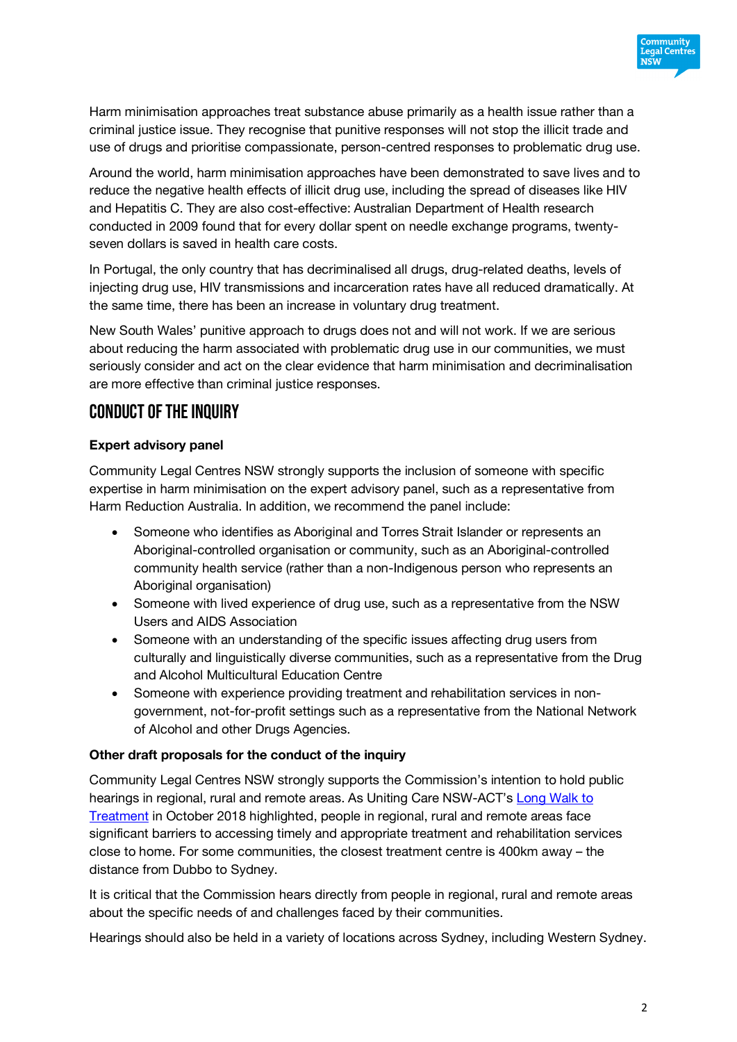

Harm minimisation approaches treat substance abuse primarily as a health issue rather than a criminal justice issue. They recognise that punitive responses will not stop the illicit trade and use of drugs and prioritise compassionate, person-centred responses to problematic drug use.

Around the world, harm minimisation approaches have been demonstrated to save lives and to reduce the negative health effects of illicit drug use, including the spread of diseases like HIV and Hepatitis C. They are also cost-effective: Australian Department of Health research conducted in 2009 found that for every dollar spent on needle exchange programs, twentyseven dollars is saved in health care costs.

In Portugal, the only country that has decriminalised all drugs, drug-related deaths, levels of injecting drug use, HIV transmissions and incarceration rates have all reduced dramatically. At the same time, there has been an increase in voluntary drug treatment.

New South Wales' punitive approach to drugs does not and will not work. If we are serious about reducing the harm associated with problematic drug use in our communities, we must seriously consider and act on the clear evidence that harm minimisation and decriminalisation are more effective than criminal justice responses.

### Conduct of the inquiry

#### **Expert advisory panel**

Community Legal Centres NSW strongly supports the inclusion of someone with specific expertise in harm minimisation on the expert advisory panel, such as a representative from Harm Reduction Australia. In addition, we recommend the panel include:

- Someone who identifies as Aboriginal and Torres Strait Islander or represents an Aboriginal-controlled organisation or community, such as an Aboriginal-controlled community health service (rather than a non-Indigenous person who represents an Aboriginal organisation)
- Someone with lived experience of drug use, such as a representative from the NSW Users and AIDS Association
- Someone with an understanding of the specific issues affecting drug users from culturally and linguistically diverse communities, such as a representative from the Drug and Alcohol Multicultural Education Centre
- Someone with experience providing treatment and rehabilitation services in nongovernment, not-for-profit settings such as a representative from the National Network of Alcohol and other Drugs Agencies.

#### **Other draft proposals for the conduct of the inquiry**

Community Legal Centres NSW strongly supports the Commission's intention to hold public hearings in regional, rural and remote areas. As Uniting Care NSW-ACT's Long Walk to Treatment in October 2018 highlighted, people in regional, rural and remote areas face significant barriers to accessing timely and appropriate treatment and rehabilitation services close to home. For some communities, the closest treatment centre is 400km away – the distance from Dubbo to Sydney.

It is critical that the Commission hears directly from people in regional, rural and remote areas about the specific needs of and challenges faced by their communities.

Hearings should also be held in a variety of locations across Sydney, including Western Sydney.